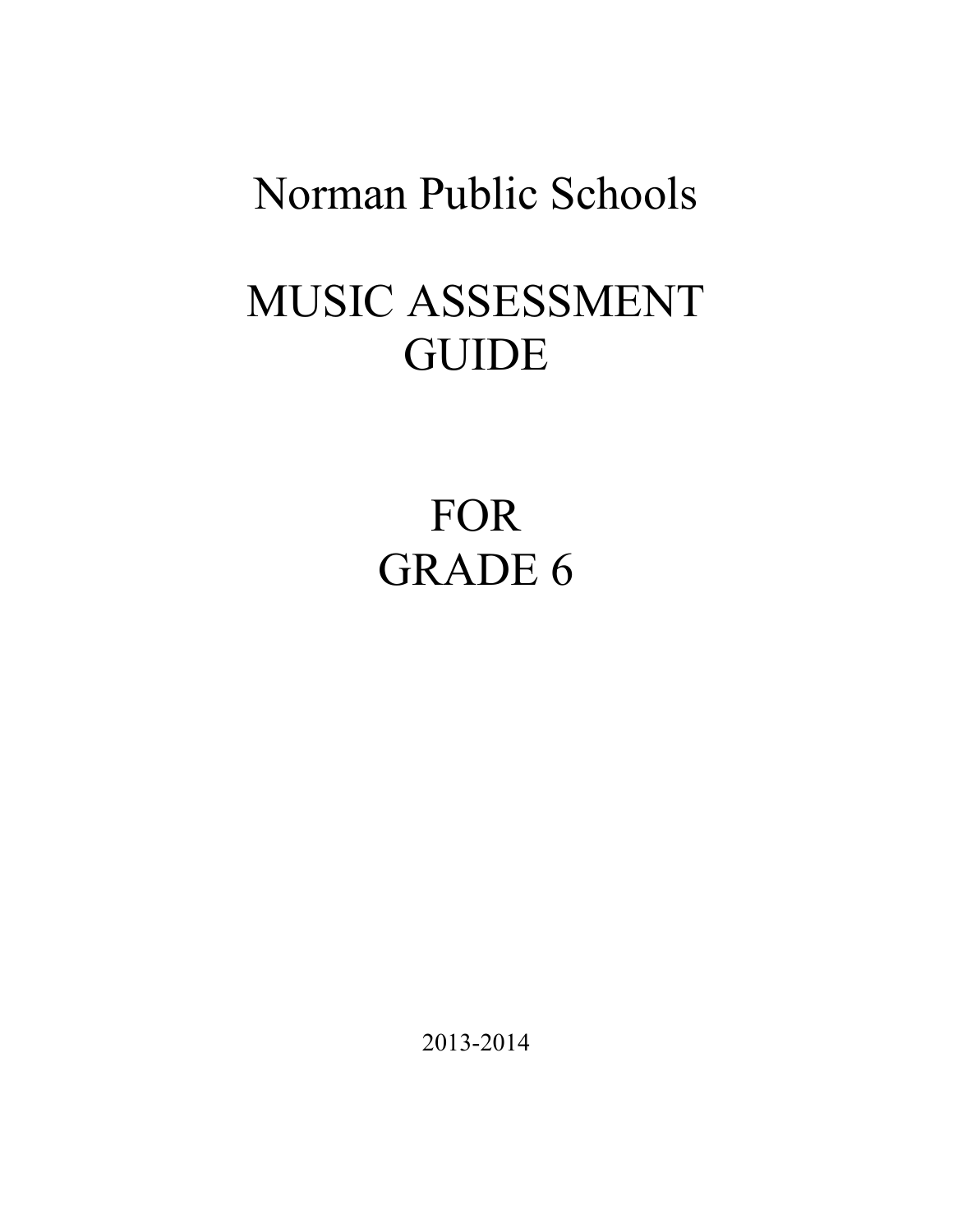## Norman Public Schools

# MUSIC ASSESSMENT **GUIDE**

FOR GRADE 6

2013-2014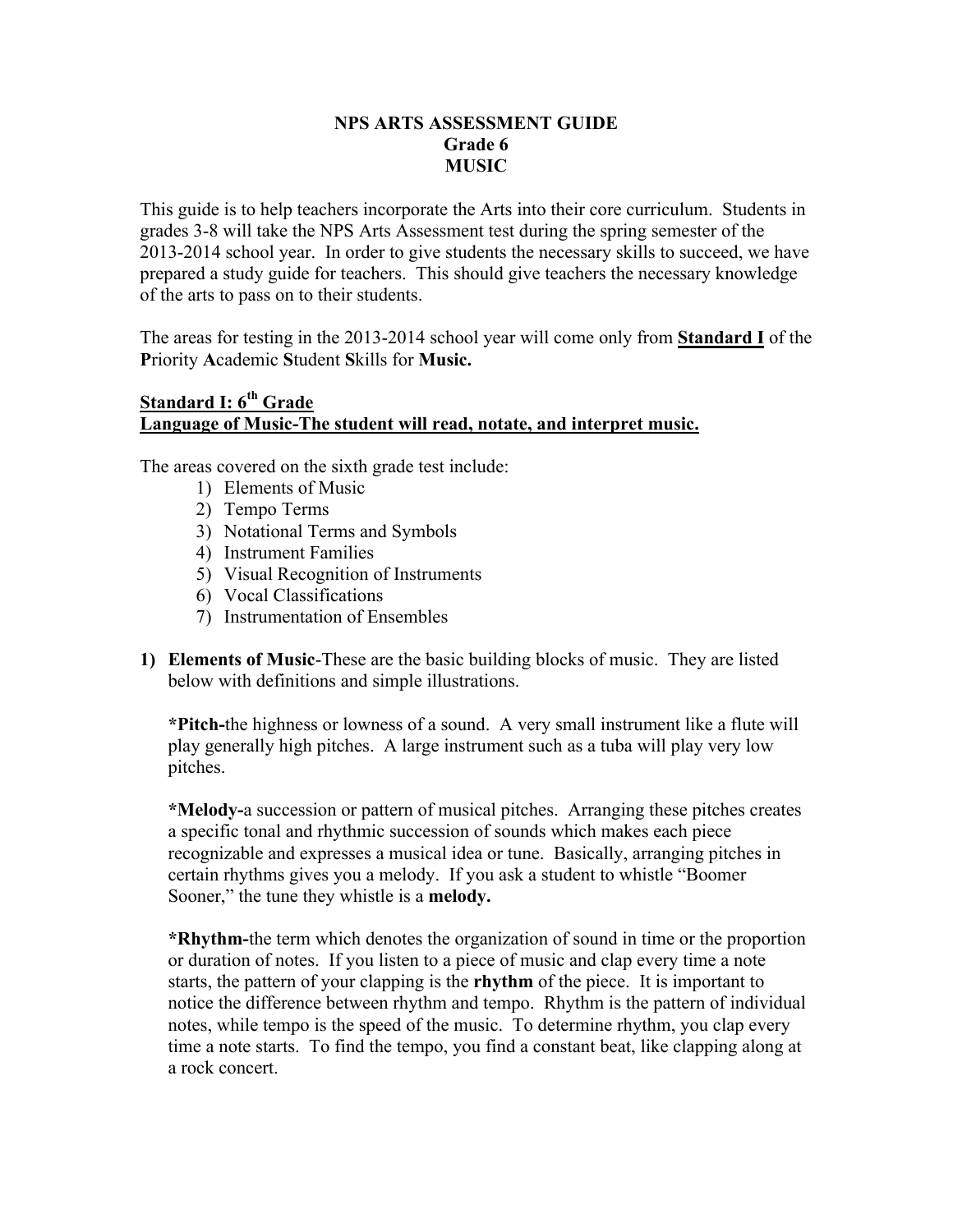#### **NPS ARTS ASSESSMENT GUIDE Grade 6 MUSIC**

This guide is to help teachers incorporate the Arts into their core curriculum. Students in grades 3-8 will take the NPS Arts Assessment test during the spring semester of the 2013-2014 school year. In order to give students the necessary skills to succeed, we have prepared a study guide for teachers. This should give teachers the necessary knowledge of the arts to pass on to their students.

The areas for testing in the 2013-2014 school year will come only from **Standard I** of the **P**riority **A**cademic **S**tudent **S**kills for **Music.**

#### **Standard I: 6<sup>th</sup> Grade Language of Music-The student will read, notate, and interpret music.**

The areas covered on the sixth grade test include:

- 1) Elements of Music
- 2) Tempo Terms
- 3) Notational Terms and Symbols
- 4) Instrument Families
- 5) Visual Recognition of Instruments
- 6) Vocal Classifications
- 7) Instrumentation of Ensembles
- **1) Elements of Music**-These are the basic building blocks of music. They are listed below with definitions and simple illustrations.

**\*Pitch-**the highness or lowness of a sound. A very small instrument like a flute will play generally high pitches. A large instrument such as a tuba will play very low pitches.

**\*Melody-**a succession or pattern of musical pitches. Arranging these pitches creates a specific tonal and rhythmic succession of sounds which makes each piece recognizable and expresses a musical idea or tune. Basically, arranging pitches in certain rhythms gives you a melody. If you ask a student to whistle "Boomer Sooner," the tune they whistle is a **melody.**

**\*Rhythm-**the term which denotes the organization of sound in time or the proportion or duration of notes. If you listen to a piece of music and clap every time a note starts, the pattern of your clapping is the **rhythm** of the piece. It is important to notice the difference between rhythm and tempo. Rhythm is the pattern of individual notes, while tempo is the speed of the music. To determine rhythm, you clap every time a note starts. To find the tempo, you find a constant beat, like clapping along at a rock concert.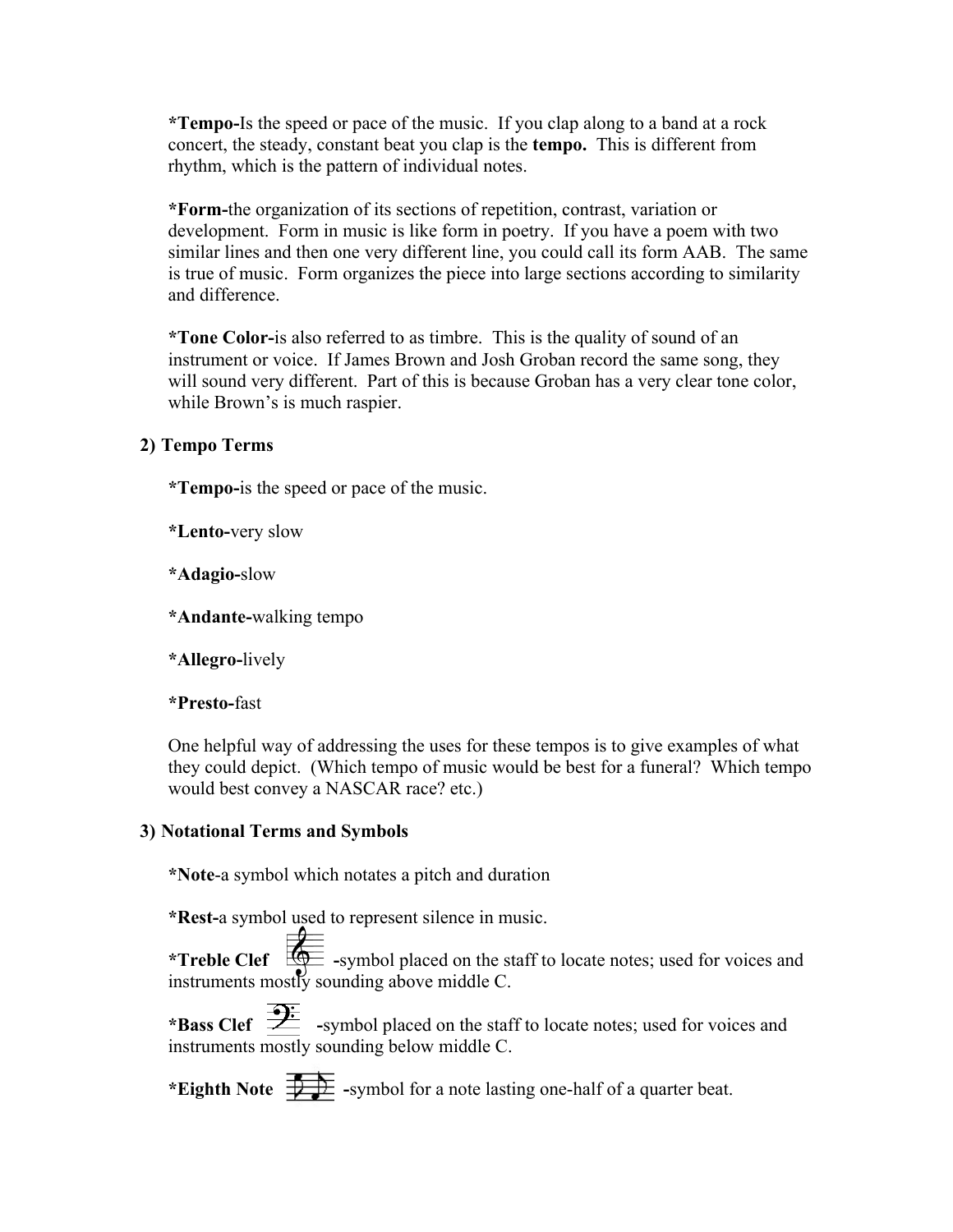**\*Tempo-**Is the speed or pace of the music. If you clap along to a band at a rock concert, the steady, constant beat you clap is the **tempo.** This is different from rhythm, which is the pattern of individual notes.

**\*Form-**the organization of its sections of repetition, contrast, variation or development. Form in music is like form in poetry. If you have a poem with two similar lines and then one very different line, you could call its form AAB. The same is true of music. Form organizes the piece into large sections according to similarity and difference.

**\*Tone Color-**is also referred to as timbre. This is the quality of sound of an instrument or voice. If James Brown and Josh Groban record the same song, they will sound very different. Part of this is because Groban has a very clear tone color, while Brown's is much raspier.

#### **2) Tempo Terms**

**\*Tempo-**is the speed or pace of the music.

**\*Lento-**very slow

**\*Adagio-**slow

**\*Andante-**walking tempo

**\*Allegro-**lively

**\*Presto-**fast

One helpful way of addressing the uses for these tempos is to give examples of what they could depict. (Which tempo of music would be best for a funeral? Which tempo would best convey a NASCAR race? etc.)

#### **3) Notational Terms and Symbols**

**\*Note**-a symbol which notates a pitch and duration

**\*Rest-**a symbol used to represent silence in music.

\***Treble Clef**  $\frac{d\mathbf{Q}}{dt}$  -symbol placed on the staff to locate notes; used for voices and instruments mostly sounding above middle C.

\***Bass Clef**  $\overrightarrow{2}$  -symbol placed on the staff to locate notes; used for voices and instruments mostly sounding below middle C.

\***Eighth Note**  $\overrightarrow{+}$  -symbol for a note lasting one-half of a quarter beat.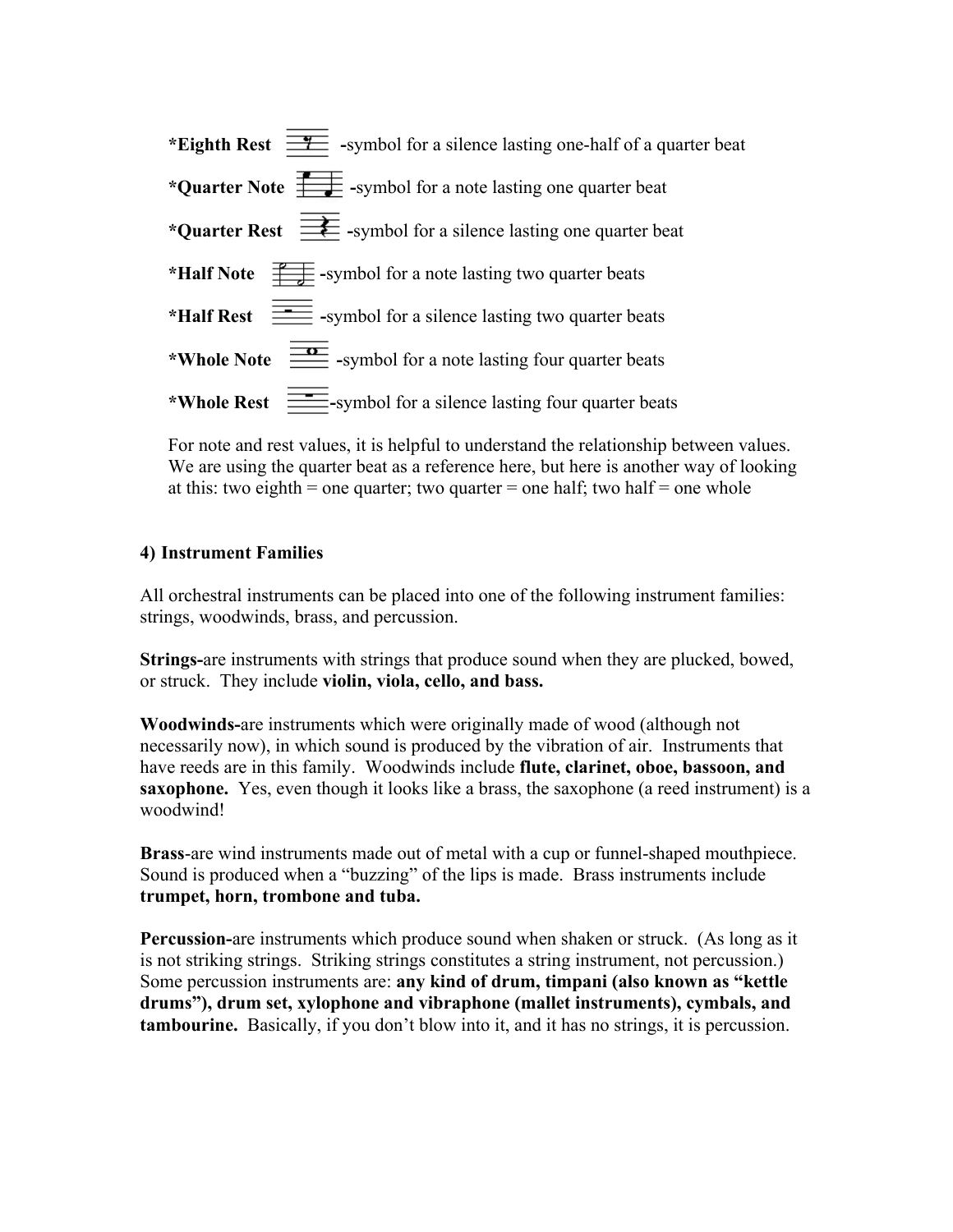| *Eighth Rest $\frac{1}{\sqrt{1-\frac{1}{\sqrt{1-\frac{1}{\sqrt{1-\frac{1}{\sqrt{1-\frac{1}{\sqrt{1-\frac{1}{\sqrt{1-\frac{1}{\sqrt{1-\frac{1}{\sqrt{1-\frac{1}{\sqrt{1-\frac{1}{\sqrt{1-\frac{1}{\sqrt{1-\frac{1}{\sqrt{1-\frac{1}{\sqrt{1-\frac{1}{\sqrt{1-\frac{1}{\sqrt{1-\frac{1}{\sqrt{1-\frac{1}{\sqrt{1-\frac{1}{\sqrt{1-\frac{1}{\sqrt{1-\frac{1}{\sqrt{1-\frac{1}{\sqrt{1-\frac{1}{\sqrt{1-\frac{1}{\sqrt{1$ |
|-----------------------------------------------------------------------------------------------------------------------------------------------------------------------------------------------------------------------------------------------------------------------------------------------------------------------------------------------------------------------------------------------------------------------|
| *Quarter Note $\frac{1}{\sqrt{2}}$ -symbol for a note lasting one quarter beat                                                                                                                                                                                                                                                                                                                                        |
| * <b>Quarter Rest</b> $\frac{\cdot}{\cdot}$ -symbol for a silence lasting one quarter beat                                                                                                                                                                                                                                                                                                                            |
| *Half Note $\frac{P}{\sqrt{P}}$ -symbol for a note lasting two quarter beats                                                                                                                                                                                                                                                                                                                                          |
| * <b>Half Rest</b> $\equiv$ -symbol for a silence lasting two quarter beats                                                                                                                                                                                                                                                                                                                                           |
| *Whole Note $\frac{2\pi}{\pi}$ -symbol for a note lasting four quarter beats                                                                                                                                                                                                                                                                                                                                          |
| *Whole Rest $\equiv$ -symbol for a silence lasting four quarter beats                                                                                                                                                                                                                                                                                                                                                 |

For note and rest values, it is helpful to understand the relationship between values. We are using the quarter beat as a reference here, but here is another way of looking at this: two eighth = one quarter; two quarter = one half; two half = one whole

#### **4) Instrument Families**

All orchestral instruments can be placed into one of the following instrument families: strings, woodwinds, brass, and percussion.

**Strings-**are instruments with strings that produce sound when they are plucked, bowed, or struck. They include **violin, viola, cello, and bass.**

**Woodwinds-**are instruments which were originally made of wood (although not necessarily now), in which sound is produced by the vibration of air. Instruments that have reeds are in this family. Woodwinds include **flute, clarinet, oboe, bassoon, and saxophone.** Yes, even though it looks like a brass, the saxophone (a reed instrument) is a woodwind!

**Brass**-are wind instruments made out of metal with a cup or funnel-shaped mouthpiece. Sound is produced when a "buzzing" of the lips is made. Brass instruments include **trumpet, horn, trombone and tuba.**

**Percussion-**are instruments which produce sound when shaken or struck. (As long as it is not striking strings. Striking strings constitutes a string instrument, not percussion.) Some percussion instruments are: **any kind of drum, timpani (also known as "kettle drums"), drum set, xylophone and vibraphone (mallet instruments), cymbals, and tambourine.** Basically, if you don't blow into it, and it has no strings, it is percussion.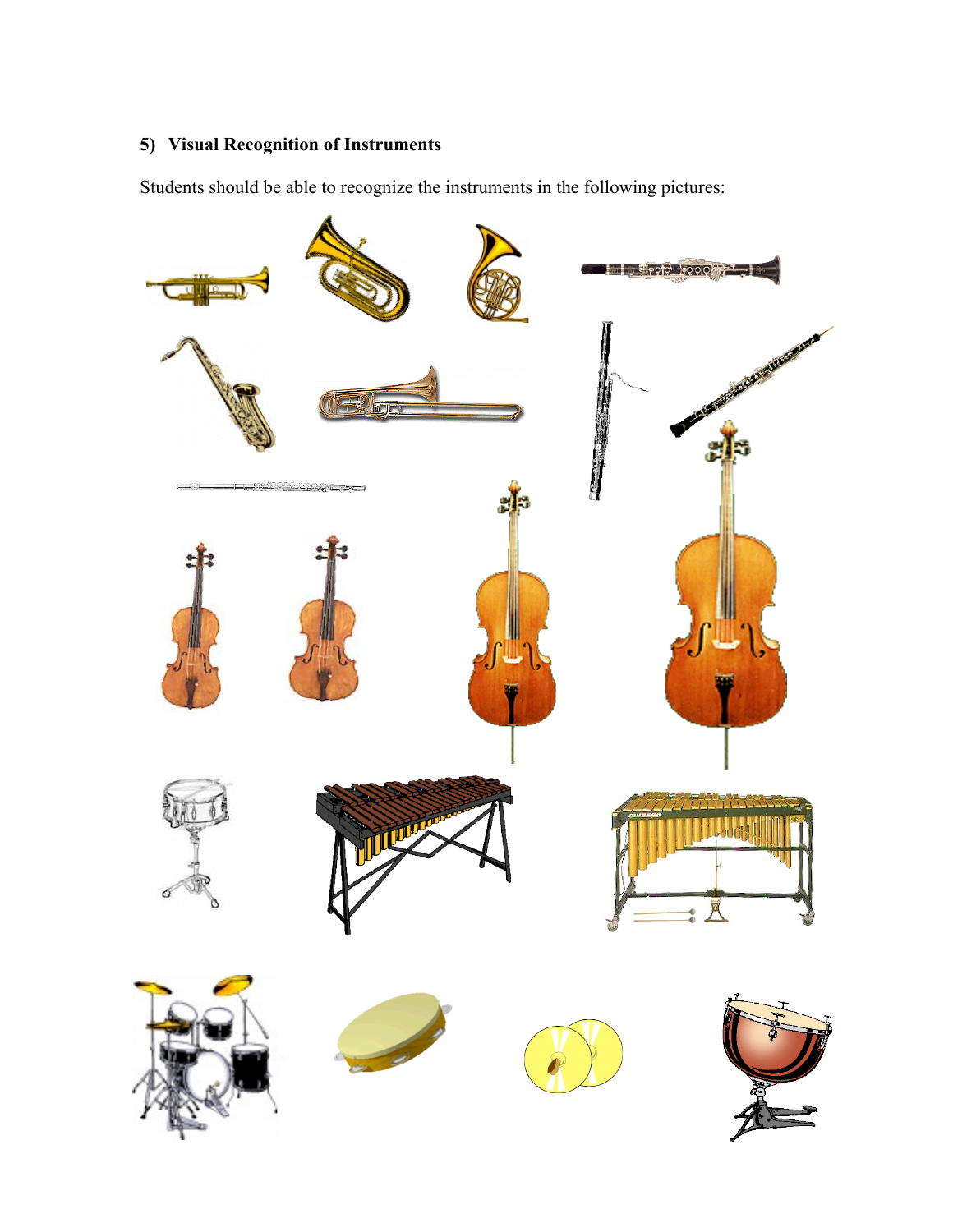### **5) Visual Recognition of Instruments**

Students should be able to recognize the instruments in the following pictures: